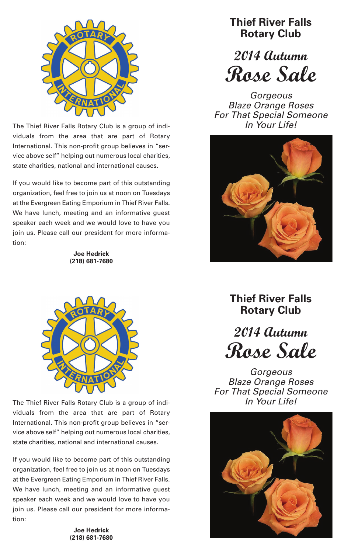

The Thief River Falls Rotary Club is <sup>a</sup> group of indi- *In Your Life!* viduals from the area that are part of Rotary International. This non-profit group believes in "service above self" helping out numerous local charities, state charities, national and international causes.

If you would like to become part of this outstanding organization, feel free to join us at noon on Tuesdays at the Evergreen Eating Emporium in Thief River Falls. We have lunch, meeting and an informative guest speaker each week and we would love to have you join us. Please call our president for more information:

> **Joe Hedrick (218) 681-7680**

**Thief River FallsRotary Club**

*2014 Autumn Rose Sale*

*Gorgeous Blaze Orange Roses For That Special Someone*